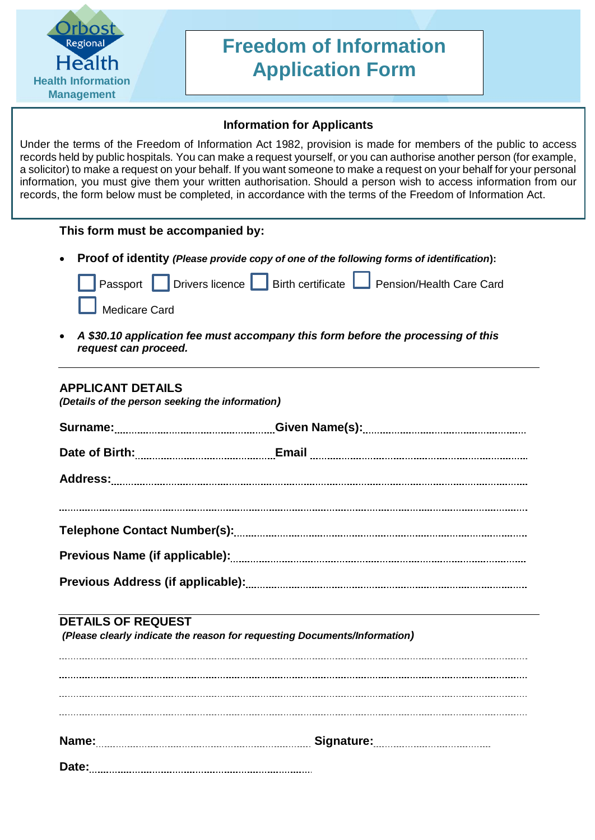

# **Freedom of Information Application Form**

## **Information for Applicants**

Under the terms of the Freedom of Information Act 1982, provision is made for members of the public to access records held by public hospitals. You can make a request yourself, or you can authorise another person (for example, a solicitor) to make a request on your behalf. If you want someone to make a request on your behalf for your personal information, you must give them your written authorisation. Should a person wish to access information from our records, the form below must be completed, in accordance with the terms of the Freedom of Information Act.

## **This form must be accompanied by:**

**Proof of identity** *(Please provide copy of one of the following forms of identification***):**

|               |  | Passport Divers licence Birth certificate Pension/Health Care Card |
|---------------|--|--------------------------------------------------------------------|
| Medicare Card |  |                                                                    |

 *A \$30.10 application fee must accompany this form before the processing of this request can proceed.*

# **APPLICANT DETAILS**

*(Details of the person seeking the information)*

## **DETAILS OF REQUEST**

*(Please clearly indicate the reason for requesting Documents/Information)*

| Name: |  |
|-------|--|
| Date: |  |